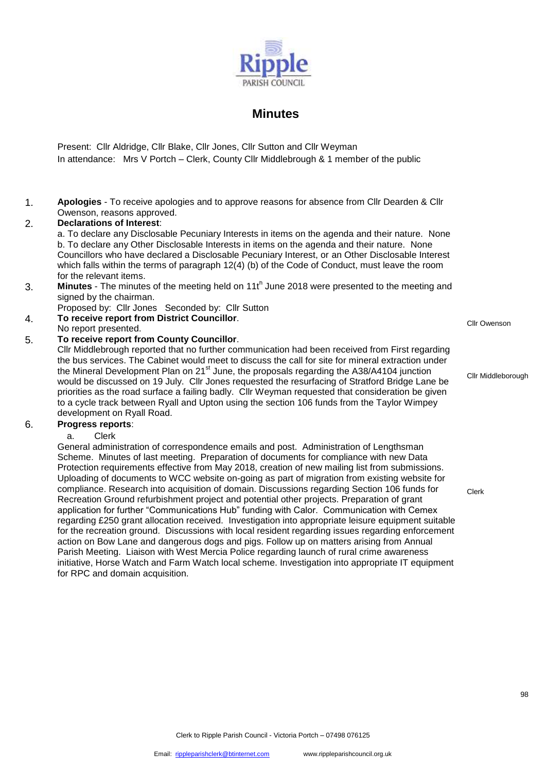

# **Minutes**

Present: Cllr Aldridge, Cllr Blake, Cllr Jones, Cllr Sutton and Cllr Weyman In attendance: Mrs V Portch – Clerk, County Cllr Middlebrough & 1 member of the public

1. **Apologies** - To receive apologies and to approve reasons for absence from Cllr Dearden & Cllr Owenson, reasons approved.

# 2. **Declarations of Interest**:

a. To declare any Disclosable Pecuniary Interests in items on the agenda and their nature. None b. To declare any Other Disclosable Interests in items on the agenda and their nature. None Councillors who have declared a Disclosable Pecuniary Interest, or an Other Disclosable Interest which falls within the terms of paragraph 12(4) (b) of the Code of Conduct, must leave the room for the relevant items.

- 3. **Minutes** The minutes of the meeting held on 11t<sup>h</sup> June 2018 were presented to the meeting and signed by the chairman.
- Proposed by: Cllr Jones Seconded by: Cllr Sutton
- 4. **To receive report from District Councillor**. No receive report from District Councillor.<br>No report presented.
- 

# 5. **To receive report from County Councillor**.

Cllr Middlebrough reported that no further communication had been received from First regarding the bus services. The Cabinet would meet to discuss the call for site for mineral extraction under the Mineral Development Plan on 21<sup>st</sup> June, the proposals regarding the A38/A4104 junction would be discussed on 19 July. Cllr Jones requested the resurfacing of Stratford Bridge Lane be priorities as the road surface a failing badly. Cllr Weyman requested that consideration be given to a cycle track between Ryall and Upton using the section 106 funds from the Taylor Wimpey development on Ryall Road.

### 6. **Progress reports**:

### a. Clerk

General administration of correspondence emails and post. Administration of Lengthsman Scheme. Minutes of last meeting. Preparation of documents for compliance with new Data Protection requirements effective from May 2018, creation of new mailing list from submissions. Uploading of documents to WCC website on-going as part of migration from existing website for compliance. Research into acquisition of domain. Discussions regarding Section 106 funds for Recreation Ground refurbishment project and potential other projects. Preparation of grant application for further "Communications Hub" funding with Calor. Communication with Cemex regarding £250 grant allocation received. Investigation into appropriate leisure equipment suitable for the recreation ground. Discussions with local resident regarding issues regarding enforcement action on Bow Lane and dangerous dogs and pigs. Follow up on matters arising from Annual Parish Meeting. Liaison with West Mercia Police regarding launch of rural crime awareness initiative, Horse Watch and Farm Watch local scheme. Investigation into appropriate IT equipment for RPC and domain acquisition.

Cllr Middleborough

Clerk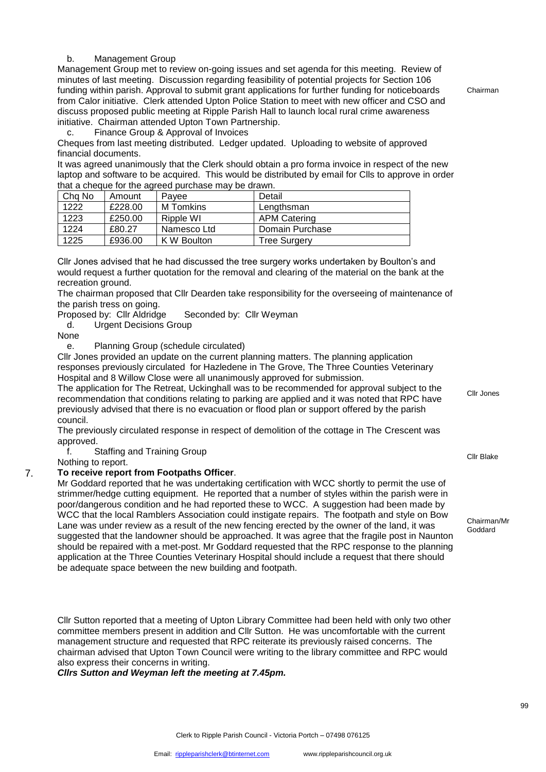# b. Management Group

Management Group met to review on-going issues and set agenda for this meeting. Review of minutes of last meeting. Discussion regarding feasibility of potential projects for Section 106 funding within parish. Approval to submit grant applications for further funding for noticeboards from Calor initiative. Clerk attended Upton Police Station to meet with new officer and CSO and discuss proposed public meeting at Ripple Parish Hall to launch local rural crime awareness initiative. Chairman attended Upton Town Partnership.

Chairman

c. Finance Group & Approval of Invoices

Cheques from last meeting distributed. Ledger updated. Uploading to website of approved financial documents.

It was agreed unanimously that the Clerk should obtain a pro forma invoice in respect of the new laptop and software to be acquired. This would be distributed by email for Clls to approve in order that a cheque for the agreed purchase may be drawn.

| Chq No | Amount  | Pavee       | Detail              |
|--------|---------|-------------|---------------------|
| 1222   | £228.00 | M Tomkins   | Lengthsman          |
| 1223   | £250.00 | Ripple WI   | <b>APM Catering</b> |
| 1224   | £80.27  | Namesco Ltd | Domain Purchase     |
| 1225   | £936.00 | K W Boulton | <b>Tree Surgery</b> |

Cllr Jones advised that he had discussed the tree surgery works undertaken by Boulton's and would request a further quotation for the removal and clearing of the material on the bank at the recreation ground.

The chairman proposed that Cllr Dearden take responsibility for the overseeing of maintenance of the parish tress on going.

Proposed by: Cllr Aldridge Seconded by: Cllr Weyman

d. Urgent Decisions Group

None

e. Planning Group (schedule circulated)

Cllr Jones provided an update on the current planning matters. The planning application responses previously circulated for Hazledene in The Grove, The Three Counties Veterinary Hospital and 8 Willow Close were all unanimously approved for submission.

The application for The Retreat, Uckinghall was to be recommended for approval subject to the recommendation that conditions relating to parking are applied and it was noted that RPC have previously advised that there is no evacuation or flood plan or support offered by the parish council.

The previously circulated response in respect of demolition of the cottage in The Crescent was approved.

f. Staffing and Training Group nd the claiming of the community of the client of the client of the client of the client of the client of the c<br>Nothing to report.

# 7. **To receive report from Footpaths Officer**.

Mr Goddard reported that he was undertaking certification with WCC shortly to permit the use of strimmer/hedge cutting equipment. He reported that a number of styles within the parish were in poor/dangerous condition and he had reported these to WCC. A suggestion had been made by WCC that the local Ramblers Association could instigate repairs. The footpath and style on Bow Lane was under review as a result of the new fencing erected by the owner of the land, it was suggested that the landowner should be approached. It was agree that the fragile post in Naunton should be repaired with a met-post. Mr Goddard requested that the RPC response to the planning application at the Three Counties Veterinary Hospital should include a request that there should be adequate space between the new building and footpath.

Cllr Sutton reported that a meeting of Upton Library Committee had been held with only two other committee members present in addition and Cllr Sutton. He was uncomfortable with the current management structure and requested that RPC reiterate its previously raised concerns. The chairman advised that Upton Town Council were writing to the library committee and RPC would also express their concerns in writing.

*Cllrs Sutton and Weyman left the meeting at 7.45pm.*

Cllr Jones

Chairman/Mr Goddard